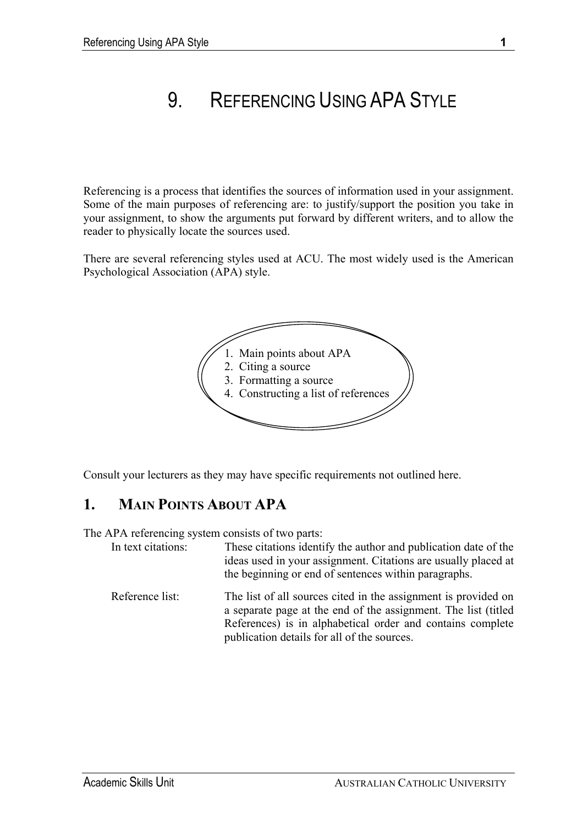# 9. REFERENCING USING APA STYLE

Referencing is a process that identifies the sources of information used in your assignment. Some of the main purposes of referencing are: to justify/support the position you take in your assignment, to show the arguments put forward by different writers, and to allow the reader to physically locate the sources used.

There are several referencing styles used at ACU. The most widely used is the American Psychological Association (APA) style.



Consult your lecturers as they may have specific requirements not outlined here.

# **1. MAIN POINTS ABOUT APA**

The APA referencing system consists of two parts:

| In text citations: | These citations identify the author and publication date of the<br>ideas used in your assignment. Citations are usually placed at<br>the beginning or end of sentences within paragraphs.      |
|--------------------|------------------------------------------------------------------------------------------------------------------------------------------------------------------------------------------------|
| Reference list:    | The list of all sources cited in the assignment is provided on<br>a separate page at the end of the assignment. The list (titled<br>References) is in alphabetical order and contains complete |

publication details for all of the sources.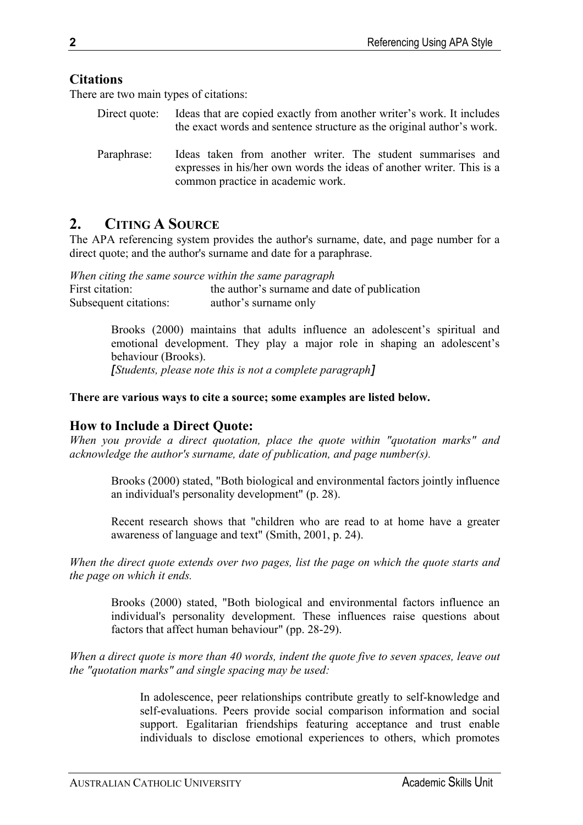# **Citations**

There are two main types of citations:

- Direct quote: Ideas that are copied exactly from another writer's work. It includes the exact words and sentence structure as the original author's work.
- Paraphrase: Ideas taken from another writer. The student summarises and expresses in his/her own words the ideas of another writer. This is a common practice in academic work.

# **2. CITING A SOURCE**

The APA referencing system provides the author's surname, date, and page number for a direct quote; and the author's surname and date for a paraphrase.

*When citing the same source within the same paragraph*  First citation: the author's surname and date of publication Subsequent citations: author's surname only

> Brooks (2000) maintains that adults influence an adolescent's spiritual and emotional development. They play a major role in shaping an adolescent's behaviour (Brooks).

*[Students, please note this is not a complete paragraph]*

# **There are various ways to cite a source; some examples are listed below.**

# **How to Include a Direct Quote:**

*When you provide a direct quotation, place the quote within "quotation marks" and acknowledge the author's surname, date of publication, and page number(s).* 

Brooks (2000) stated, "Both biological and environmental factors jointly influence an individual's personality development" (p. 28).

Recent research shows that "children who are read to at home have a greater awareness of language and text" (Smith, 2001, p. 24).

*When the direct quote extends over two pages, list the page on which the quote starts and the page on which it ends.* 

Brooks (2000) stated, "Both biological and environmental factors influence an individual's personality development. These influences raise questions about factors that affect human behaviour" (pp. 28-29).

*When a direct quote is more than 40 words, indent the quote five to seven spaces, leave out the "quotation marks" and single spacing may be used:* 

> In adolescence, peer relationships contribute greatly to self-knowledge and self-evaluations. Peers provide social comparison information and social support. Egalitarian friendships featuring acceptance and trust enable individuals to disclose emotional experiences to others, which promotes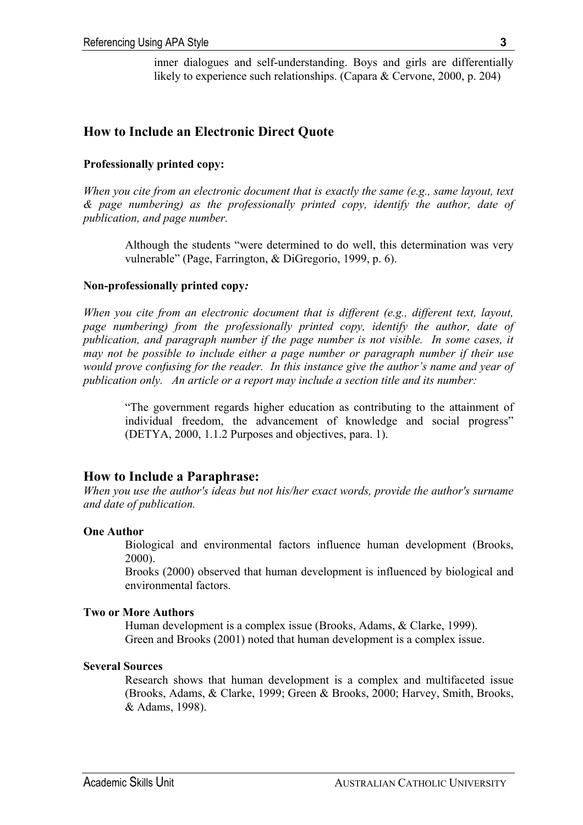inner dialogues and self-understanding. Boys and girls are differentially likely to experience such relationships. (Capara & Cervone, 2000, p. 204)

# **How to Include an Electronic Direct Quote**

#### **Professionally printed copy:**

*When you cite from an electronic document that is exactly the same (e.g., same layout, text & page numbering) as the professionally printed copy, identify the author, date of publication, and page number.* 

Although the students "were determined to do well, this determination was very vulnerable" (Page, Farrington, & DiGregorio, 1999, p. 6).

#### **Non-professionally printed copy***:*

*When you cite from an electronic document that is different (e.g., different text, layout, page numbering) from the professionally printed copy, identify the author, date of publication, and paragraph number if the page number is not visible. In some cases, it may not be possible to include either a page number or paragraph number if their use would prove confusing for the reader. In this instance give the author's name and year of publication only. An article or a report may include a section title and its number:* 

"The government regards higher education as contributing to the attainment of individual freedom, the advancement of knowledge and social progress" (DETYA, 2000, 1.1.2 Purposes and objectives, para. 1).

# **How to Include a Paraphrase:**

*When you use the author's ideas but not his/her exact words, provide the author's surname and date of publication.* 

#### **One Author**

Biological and environmental factors influence human development (Brooks, 2000).

Brooks (2000) observed that human development is influenced by biological and environmental factors.

#### **Two or More Authors**

Human development is a complex issue (Brooks, Adams, & Clarke, 1999). Green and Brooks (2001) noted that human development is a complex issue.

#### **Several Sources**

Research shows that human development is a complex and multifaceted issue (Brooks, Adams, & Clarke, 1999; Green & Brooks, 2000; Harvey, Smith, Brooks, & Adams, 1998).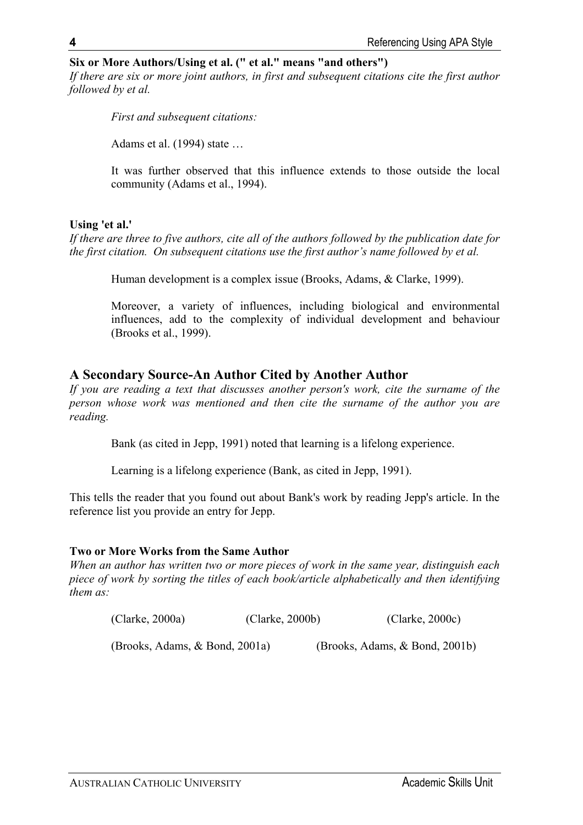# **Six or More Authors/Using et al. (" et al." means "and others")**

*If there are six or more joint authors, in first and subsequent citations cite the first author followed by et al.* 

*First and subsequent citations:* 

Adams et al. (1994) state …

It was further observed that this influence extends to those outside the local community (Adams et al., 1994).

### **Using 'et al.'**

*If there are three to five authors, cite all of the authors followed by the publication date for the first citation. On subsequent citations use the first author's name followed by et al.* 

Human development is a complex issue (Brooks, Adams, & Clarke, 1999).

Moreover, a variety of influences, including biological and environmental influences, add to the complexity of individual development and behaviour (Brooks et al., 1999).

# **A Secondary Source-An Author Cited by Another Author**

*If you are reading a text that discusses another person's work, cite the surname of the person whose work was mentioned and then cite the surname of the author you are reading.* 

Bank (as cited in Jepp, 1991) noted that learning is a lifelong experience.

Learning is a lifelong experience (Bank, as cited in Jepp, 1991).

This tells the reader that you found out about Bank's work by reading Jepp's article. In the reference list you provide an entry for Jepp.

# **Two or More Works from the Same Author**

*When an author has written two or more pieces of work in the same year, distinguish each piece of work by sorting the titles of each book/article alphabetically and then identifying them as:* 

| (Clarke, 2000a)                | (Clarke, 2000b) | $(C\text{larke}, 2000c)$       |  |
|--------------------------------|-----------------|--------------------------------|--|
| (Brooks, Adams, & Bond, 2001a) |                 | (Brooks, Adams, & Bond, 2001b) |  |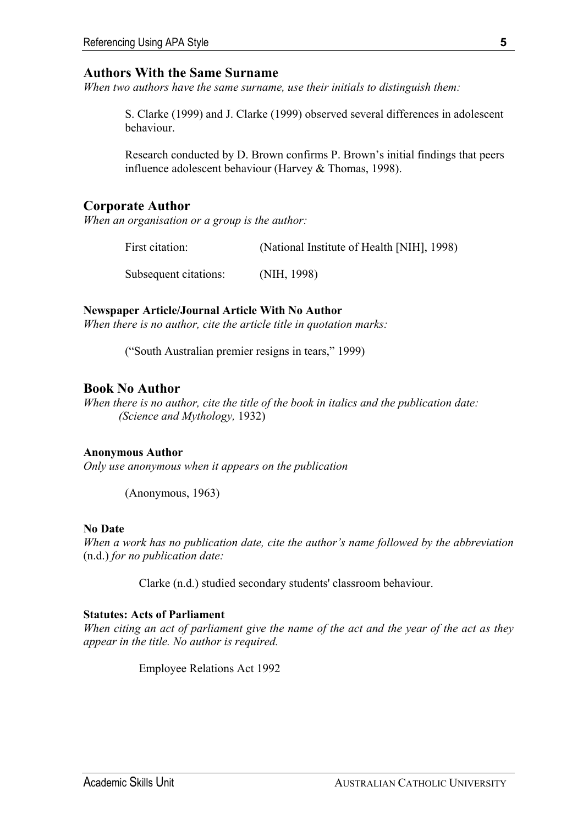# **Authors With the Same Surname**

*When two authors have the same surname, use their initials to distinguish them:* 

S. Clarke (1999) and J. Clarke (1999) observed several differences in adolescent behaviour.

Research conducted by D. Brown confirms P. Brown's initial findings that peers influence adolescent behaviour (Harvey & Thomas, 1998).

# **Corporate Author**

*When an organisation or a group is the author:* 

First citation: (National Institute of Health [NIH], 1998)

Subsequent citations: (NIH, 1998)

# **Newspaper Article/Journal Article With No Author**

*When there is no author, cite the article title in quotation marks:* 

("South Australian premier resigns in tears," 1999)

# **Book No Author**

*When there is no author, cite the title of the book in italics and the publication date: (Science and Mythology,* 1932)

# **Anonymous Author**

*Only use anonymous when it appears on the publication* 

(Anonymous, 1963)

# **No Date**

*When a work has no publication date, cite the author's name followed by the abbreviation*  (n.d.) *for no publication date:* 

Clarke (n.d.) studied secondary students' classroom behaviour.

### **Statutes: Acts of Parliament**

*When citing an act of parliament give the name of the act and the year of the act as they appear in the title. No author is required.*

Employee Relations Act 1992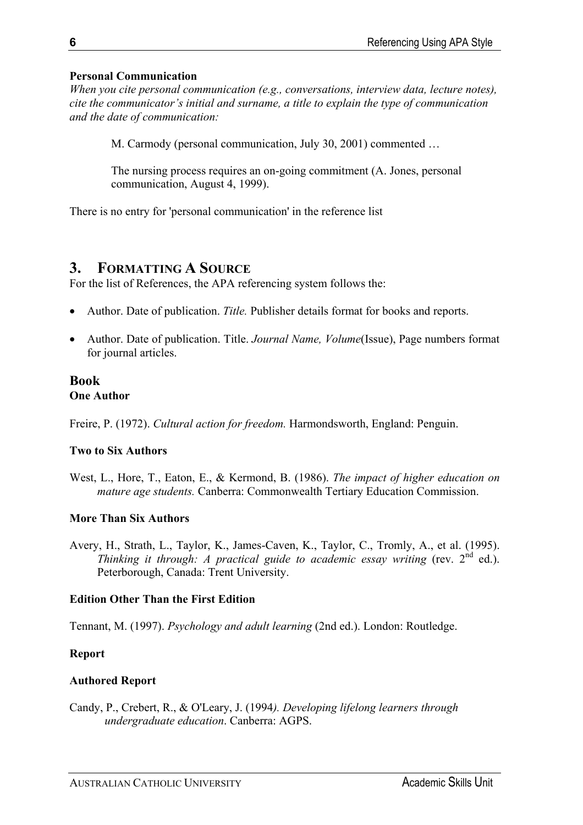# **Personal Communication**

*When you cite personal communication (e.g., conversations, interview data, lecture notes), cite the communicator's initial and surname, a title to explain the type of communication and the date of communication:* 

M. Carmody (personal communication, July 30, 2001) commented …

The nursing process requires an on-going commitment (A. Jones, personal communication, August 4, 1999).

There is no entry for 'personal communication' in the reference list

# **3. FORMATTING A SOURCE**

For the list of References, the APA referencing system follows the:

- Author. Date of publication. *Title.* Publisher details format for books and reports.
- Author. Date of publication. Title. *Journal Name, Volume*(Issue), Page numbers format for journal articles.

# **Book One Author**

Freire, P. (1972). *Cultural action for freedom.* Harmondsworth, England: Penguin.

# **Two to Six Authors**

West, L., Hore, T., Eaton, E., & Kermond, B. (1986). *The impact of higher education on mature age students.* Canberra: Commonwealth Tertiary Education Commission.

# **More Than Six Authors**

Avery, H., Strath, L., Taylor, K., James-Caven, K., Taylor, C., Tromly, A., et al. (1995). *Thinking it through: A practical guide to academic essay writing* (rev. 2<sup>nd</sup> ed.). Peterborough, Canada: Trent University.

# **Edition Other Than the First Edition**

Tennant, M. (1997). *Psychology and adult learning* (2nd ed.). London: Routledge.

# **Report**

# **Authored Report**

Candy, P., Crebert, R., & O'Leary, J. (1994*). Developing lifelong learners through undergraduate education*. Canberra: AGPS.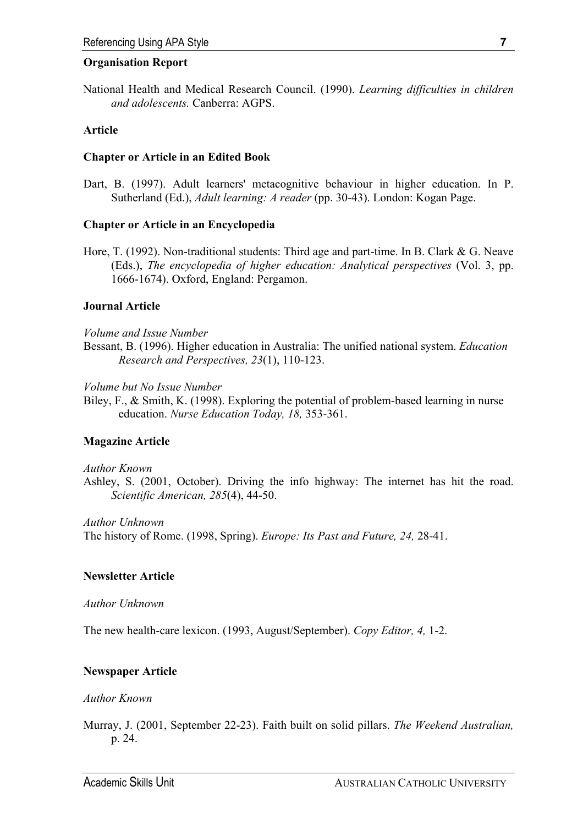#### **Organisation Report**

National Health and Medical Research Council. (1990). *Learning difficulties in children and adolescents.* Canberra: AGPS.

### **Article**

### **Chapter or Article in an Edited Book**

Dart, B. (1997). Adult learners' metacognitive behaviour in higher education. In P. Sutherland (Ed.), *Adult learning: A reader* (pp. 30-43). London: Kogan Page.

### **Chapter or Article in an Encyclopedia**

Hore, T. (1992). Non-traditional students: Third age and part-time. In B. Clark & G. Neave (Eds.), *The encyclopedia of higher education: Analytical perspectives* (Vol. 3, pp. 1666-1674). Oxford, England: Pergamon.

# **Journal Article**

#### *Volume and Issue Number*

Bessant, B. (1996). Higher education in Australia: The unified national system. *Education Research and Perspectives, 23*(1), 110-123.

*Volume but No Issue Number* 

Biley, F., & Smith, K. (1998). Exploring the potential of problem-based learning in nurse education. *Nurse Education Today, 18,* 353-361.

#### **Magazine Article**

#### *Author Known*

Ashley, S. (2001, October). Driving the info highway: The internet has hit the road. *Scientific American, 285*(4), 44-50.

*Author Unknown* 

The history of Rome. (1998, Spring). *Europe: Its Past and Future, 24,* 28-41.

#### **Newsletter Article**

#### *Author Unknown*

The new health-care lexicon. (1993, August/September). *Copy Editor, 4,* 1-2.

# **Newspaper Article**

#### *Author Known*

Murray, J. (2001, September 22-23). Faith built on solid pillars. *The Weekend Australian,* p. 24.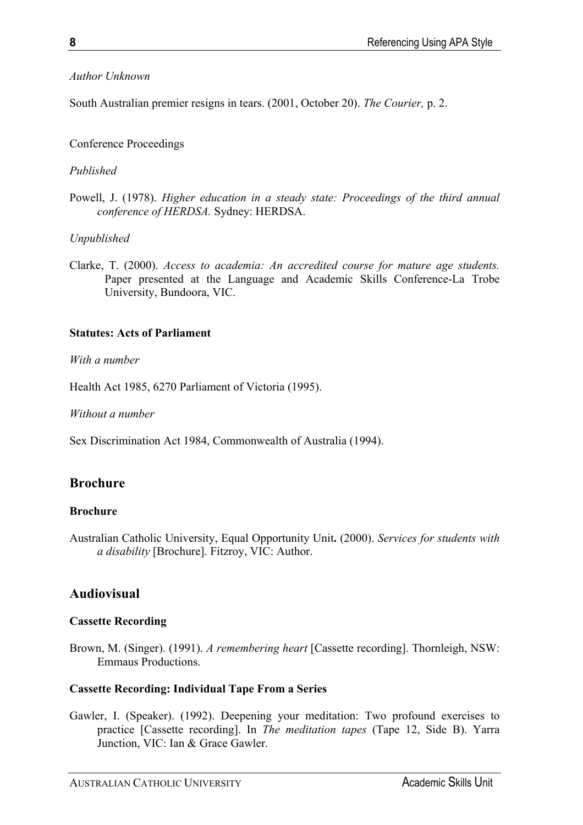# *Author Unknown*

South Australian premier resigns in tears. (2001, October 20). *The Courier,* p. 2.

# Conference Proceedings

# *Published*

Powell, J. (1978). *Higher education in a steady state: Proceedings of the third annual conference of HERDSA.* Sydney: HERDSA.

# *Unpublished*

Clarke, T. (2000). *Access to academia: An accredited course for mature age students.*  Paper presented at the Language and Academic Skills Conference-La Trobe University, Bundoora, VIC.

# **Statutes: Acts of Parliament**

*With a number* 

Health Act 1985, 6270 Parliament of Victoria (1995).

*Without a number* 

Sex Discrimination Act 1984, Commonwealth of Australia (1994).

# **Brochure**

# **Brochure**

Australian Catholic University, Equal Opportunity Unit**.** (2000). *Services for students with a disability* [Brochure]. Fitzroy, VIC: Author.

# **Audiovisual**

# **Cassette Recording**

Brown, M. (Singer). (1991). *A remembering heart* [Cassette recording]. Thornleigh, NSW: Emmaus Productions.

# **Cassette Recording: Individual Tape From a Series**

Gawler, I. (Speaker). (1992). Deepening your meditation: Two profound exercises to practice [Cassette recording]. In *The meditation tapes* (Tape 12, Side B). Yarra Junction, VIC: Ian & Grace Gawler.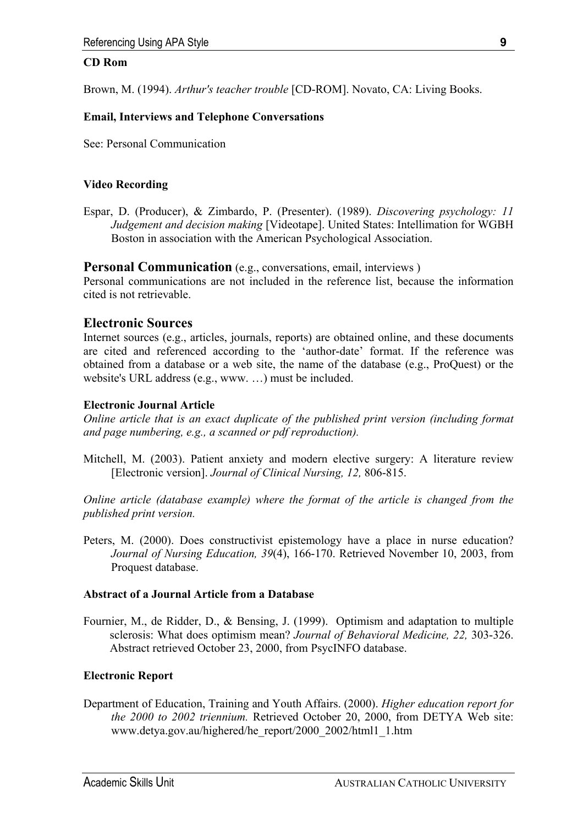#### **CD Rom**

Brown, M. (1994). *Arthur's teacher trouble* [CD-ROM]. Novato, CA: Living Books.

#### **Email, Interviews and Telephone Conversations**

See: Personal Communication

#### **Video Recording**

Espar, D. (Producer), & Zimbardo, P. (Presenter). (1989). *Discovering psychology: 11 Judgement and decision making* [Videotape]. United States: Intellimation for WGBH Boston in association with the American Psychological Association.

#### **Personal Communication** (e.g., conversations, email, interviews)

Personal communications are not included in the reference list, because the information cited is not retrievable.

### **Electronic Sources**

Internet sources (e.g., articles, journals, reports) are obtained online, and these documents are cited and referenced according to the 'author-date' format. If the reference was obtained from a database or a web site, the name of the database (e.g., ProQuest) or the website's URL address (e.g., www. …) must be included.

#### **Electronic Journal Article**

*Online article that is an exact duplicate of the published print version (including format and page numbering, e.g., a scanned or pdf reproduction).* 

Mitchell, M. (2003). Patient anxiety and modern elective surgery: A literature review [Electronic version]. *Journal of Clinical Nursing, 12,* 806-815.

*Online article (database example) where the format of the article is changed from the published print version.* 

Peters, M. (2000). Does constructivist epistemology have a place in nurse education? *Journal of Nursing Education, 39*(4), 166-170. Retrieved November 10, 2003, from Proquest database.

#### **Abstract of a Journal Article from a Database**

Fournier, M., de Ridder, D., & Bensing, J. (1999). Optimism and adaptation to multiple sclerosis: What does optimism mean? *Journal of Behavioral Medicine, 22,* 303-326. Abstract retrieved October 23, 2000, from PsycINFO database.

#### **Electronic Report**

Department of Education, Training and Youth Affairs. (2000). *Higher education report for the 2000 to 2002 triennium.* Retrieved October 20, 2000, from DETYA Web site: www.detya.gov.au/highered/he\_report/2000\_2002/html1\_1.htm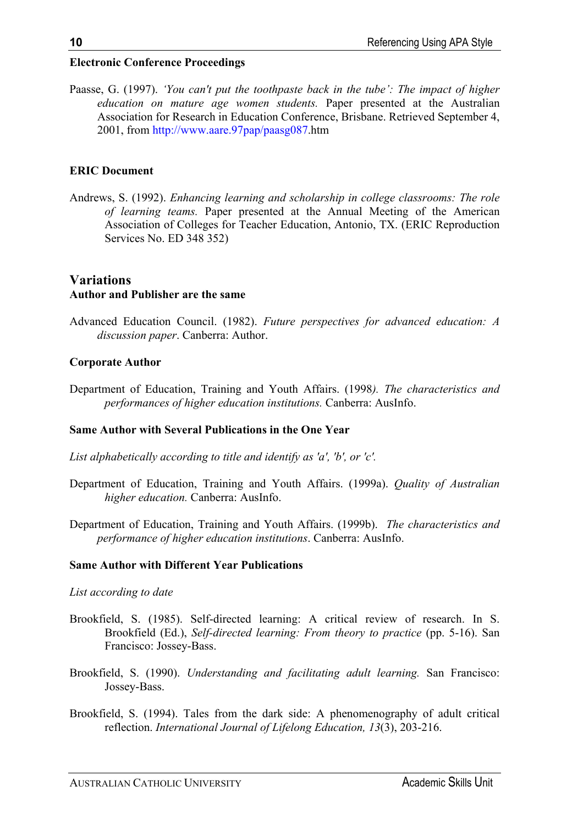# **Electronic Conference Proceedings**

Paasse, G. (1997). *'You can't put the toothpaste back in the tube': The impact of higher education on mature age women students.* Paper presented at the Australian Association for Research in Education Conference, Brisbane. Retrieved September 4, 2001, from <http://www.aare.97pap/paasg087>.htm

# **ERIC Document**

Andrews, S. (1992). *Enhancing learning and scholarship in college classrooms: The role of learning teams.* Paper presented at the Annual Meeting of the American Association of Colleges for Teacher Education, Antonio, TX. (ERIC Reproduction Services No. ED 348 352)

# **Variations Author and Publisher are the same**

Advanced Education Council. (1982). *Future perspectives for advanced education: A discussion paper*. Canberra: Author.

# **Corporate Author**

Department of Education, Training and Youth Affairs. (1998*). The characteristics and performances of higher education institutions.* Canberra: AusInfo.

# **Same Author with Several Publications in the One Year**

- *List alphabetically according to title and identify as 'a', 'b', or 'c'.*
- Department of Education, Training and Youth Affairs. (1999a). *Quality of Australian higher education.* Canberra: AusInfo.
- Department of Education, Training and Youth Affairs. (1999b). *The characteristics and performance of higher education institutions*. Canberra: AusInfo.

# **Same Author with Different Year Publications**

# *List according to date*

- Brookfield, S. (1985). Self-directed learning: A critical review of research. In S. Brookfield (Ed.), *Self-directed learning: From theory to practice* (pp. 5-16). San Francisco: Jossey-Bass.
- Brookfield, S. (1990). *Understanding and facilitating adult learning.* San Francisco: Jossey-Bass.
- Brookfield, S. (1994). Tales from the dark side: A phenomenography of adult critical reflection. *International Journal of Lifelong Education, 13*(3), 203-216.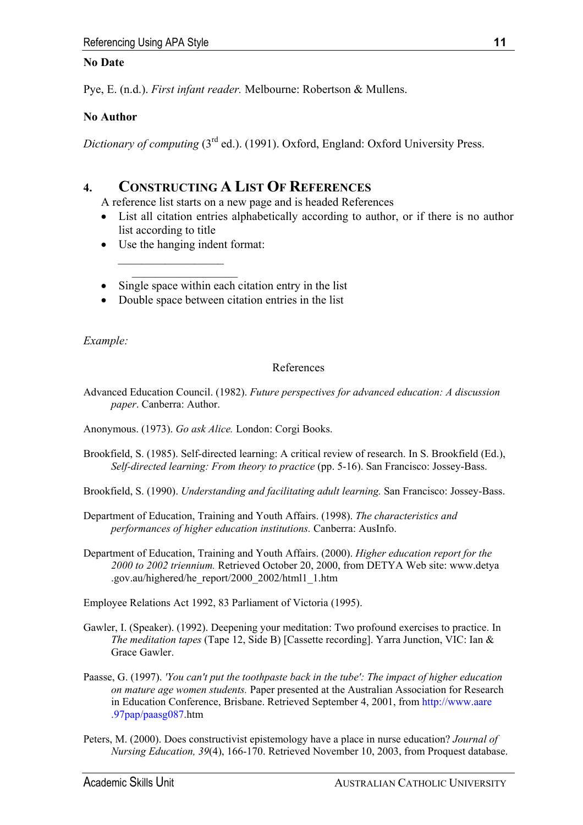# **No Date**

Pye, E. (n.d.). *First infant reader.* Melbourne: Robertson & Mullens.

# **No Author**

*Dictionary of computing* (3rd ed.). (1991). Oxford, England: Oxford University Press.

# **4. CONSTRUCTING A LIST OF REFERENCES**

A reference list starts on a new page and is headed References

- List all citation entries alphabetically according to author, or if there is no author list according to title
- Use the hanging indent format:

 $\overline{\phantom{a}}$  ,  $\overline{\phantom{a}}$  ,  $\overline{\phantom{a}}$  ,  $\overline{\phantom{a}}$  ,  $\overline{\phantom{a}}$  ,  $\overline{\phantom{a}}$  ,  $\overline{\phantom{a}}$  ,  $\overline{\phantom{a}}$  ,  $\overline{\phantom{a}}$  ,  $\overline{\phantom{a}}$  ,  $\overline{\phantom{a}}$  ,  $\overline{\phantom{a}}$  ,  $\overline{\phantom{a}}$  ,  $\overline{\phantom{a}}$  ,  $\overline{\phantom{a}}$  ,  $\overline{\phantom{a}}$  $\mathcal{L}_\text{max}$ 

- Single space within each citation entry in the list
- Double space between citation entries in the list

*Example:* 

# References

Advanced Education Council. (1982). *Future perspectives for advanced education: A discussion paper*. Canberra: Author.

Anonymous. (1973). *Go ask Alice.* London: Corgi Books.

- Brookfield, S. (1985). Self-directed learning: A critical review of research. In S. Brookfield (Ed.), *Self-directed learning: From theory to practice* (pp. 5-16). San Francisco: Jossey-Bass.
- Brookfield, S. (1990). *Understanding and facilitating adult learning.* San Francisco: Jossey-Bass.
- Department of Education, Training and Youth Affairs. (1998). *The characteristics and performances of higher education institutions.* Canberra: AusInfo.
- Department of Education, Training and Youth Affairs. (2000). *Higher education report for the 2000 to 2002 triennium.* Retrieved October 20, 2000, from DETYA Web site: www.detya .gov.au/highered/he\_report/2000\_2002/html1\_1.htm

Employee Relations Act 1992, 83 Parliament of Victoria (1995).

- Gawler, I. (Speaker). (1992). Deepening your meditation: Two profound exercises to practice. In *The meditation tapes* (Tape 12, Side B) [Cassette recording]. Yarra Junction, VIC: Ian & Grace Gawler.
- Paasse, G. (1997). *'You can't put the toothpaste back in the tube': The impact of higher education on mature age women students.* Paper presented at the Australian Association for Research in Education Conference, Brisbane. Retrieved September 4, 2001, from [http://www.aare](http://www.aare.97pap/paasg087)  [.97pap/paasg087.](http://www.aare.97pap/paasg087)htm
- Peters, M. (2000). Does constructivist epistemology have a place in nurse education? *Journal of Nursing Education, 39*(4), 166-170. Retrieved November 10, 2003, from Proquest database.